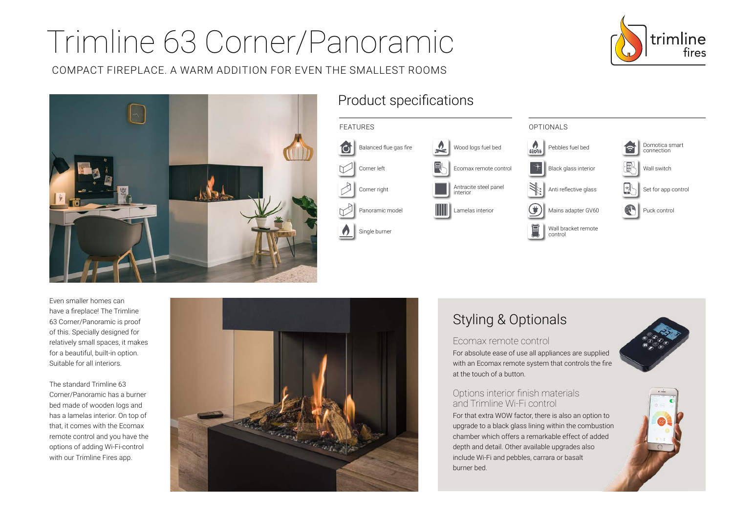# Trimline 63 Corner/Panoramic

COMPACT FIREPLACE. A WARM ADDITION FOR EVEN THE SMALLEST ROOMS





## Product specifications



Even smaller homes can have a fireplace! The Trimline 63 Corner/Panoramic is proof of this. Specially designed for relatively small spaces, it makes for a beautiful, built-in option. Suitable for all interiors.

The standard Trimline 63 Corner/Panoramic has a burner bed made of wooden logs and has a lamelas interior. On top of that, it comes with the Ecomax remote control and you have the options of adding Wi-Fi-control with our Trimline Fires app.



# Styling & Optionals

#### Ecomax remote control

For absolute ease of use all appliances are supplied with an Ecomax remote system that controls the fire at the touch of a button.

## Options interior finish materials and Trimline Wi-Fi control

For that extra WOW factor, there is also an option to upgrade to a black glass lining within the combustion chamber which offers a remarkable effect of added depth and detail. Other available upgrades also include Wi-Fi and pebbles, carrara or basalt burner bed.